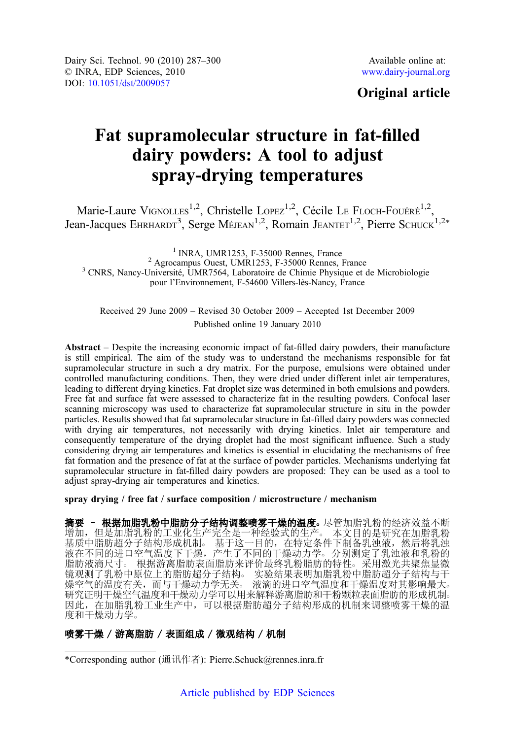# Original article

# Fat supramolecular structure in fat-filled dairy powders: A tool to adjust spray-drying temperatures

Marie-Laure VIGNOLLES<sup>1,2</sup>, Christelle LOPEZ<sup>1,2</sup>, Cécile LE FLOCH-FOUÉRÉ<sup>1,2</sup>, Jean-Jacques EHRHARDT<sup>3</sup>, Serge MÉJEAN<sup>1,2</sup>, Romain JEANTET<sup>1,2</sup>, Pierre SCHUCK<sup>1,2\*</sup>

<sup>1</sup> INRA, UMR1253, F-35000 Rennes, France<br><sup>2</sup> Agrocampus Ouest, UMR1253, F-35000 Rennes, France<br><sup>3</sup> CNRS, Nancy-Université, UMR7564, Laboratoire de Chimie Physique et de Microbiologie pour l'Environnement, F-54600 Villers-lès-Nancy, France

Received 29 June 2009 – Revised 30 October 2009 – Accepted 1st December 2009 Published online 19 January 2010

Abstract – Despite the increasing economic impact of fat-filled dairy powders, their manufacture is still empirical. The aim of the study was to understand the mechanisms responsible for fat supramolecular structure in such a dry matrix. For the purpose, emulsions were obtained under controlled manufacturing conditions. Then, they were dried under different inlet air temperatures, leading to different drying kinetics. Fat droplet size was determined in both emulsions and powders. Free fat and surface fat were assessed to characterize fat in the resulting powders. Confocal laser scanning microscopy was used to characterize fat supramolecular structure in situ in the powder particles. Results showed that fat supramolecular structure in fat-filled dairy powders was connected with drying air temperatures, not necessarily with drying kinetics. Inlet air temperature and consequently temperature of the drying droplet had the most significant influence. Such a study considering drying air temperatures and kinetics is essential in elucidating the mechanisms of free fat formation and the presence of fat at the surface of powder particles. Mechanisms underlying fat supramolecular structure in fat-filled dairy powders are proposed: They can be used as a tool to adjust spray-drying air temperatures and kinetics.

spray drying / free fat / surface composition / microstructure / mechanism

摘要 - 根据加脂乳粉中脂肪分子结构调整喷雾干燥的温度。尽管加脂乳粉的经济效益不断 增加,但是加脂乳粉的工业化生产完全是一种经验式的生产。 本文目的是研究在加脂乳粉 基质中脂肪超分子结构形成机制。 基于这一目的, 在特定条件下制备乳浊液, 然后将乳浊 液在不同的进口空气温度下干燥,产生了不同的干燥动力学。分别测定了乳浊液和乳粉的 脂肪液滴尺寸。 根据游离脂肪表面脂肪来评价最终乳粉脂肪的特性。采用激光共聚焦显微 镜观测了乳粉中原位上的脂肪超分子结构。 实验结果表明加脂乳粉中脂肪超分子结构与干 燥空气的温度有关,而与干燥动力学无关。 液滴的进口空气温度和干燥温度对其影响最大。 研究证明干燥空气温度和干燥动力学可以用来解释游离脂肪和干粉颗粒表面脂肪的形成机制。 因此,在加脂乳粉工业生产中,可以根据脂肪超分子结构形成的机制来调整喷雾干燥的温 度和干燥动力学。

# 喷雾干燥 / 游离脂肪 / 表面组成 / 微观结构 / 机制

<sup>\*</sup>Corresponding author (通讯作者): Pierre.Schuck@rennes.inra.fr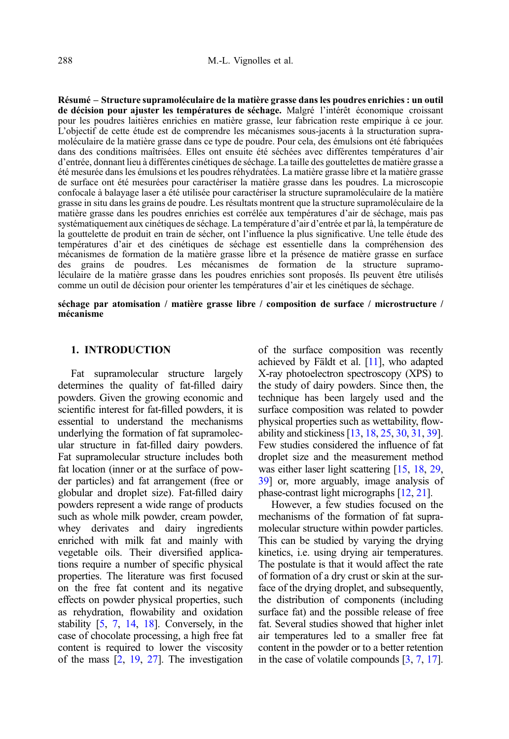Résumé – Structure supramoléculaire de la matière grasse dans les poudres enrichies : un outil de décision pour ajuster les températures de séchage. Malgré l'intérêt économique croissant pour les poudres laitières enrichies en matière grasse, leur fabrication reste empirique à ce jour. L'objectif de cette étude est de comprendre les mécanismes sous-jacents à la structuration supramoléculaire de la matière grasse dans ce type de poudre. Pour cela, des émulsions ont été fabriquées dans des conditions maîtrisées. Elles ont ensuite été séchées avec différentes températures d'air d'entrée, donnant lieu à différentes cinétiques de séchage. La taille des gouttelettes de matière grasse a été mesurée dans les émulsions et les poudres réhydratées. La matière grasse libre et la matière grasse de surface ont été mesurées pour caractériser la matière grasse dans les poudres. La microscopie confocale à balayage laser a été utilisée pour caractériser la structure supramoléculaire de la matière grasse in situ dans les grains de poudre. Les résultats montrent que la structure supramoléculaire de la matière grasse dans les poudres enrichies est corrélée aux températures d'air de séchage, mais pas systématiquement aux cinétiques de séchage. La température d'air d'entrée et par là, la température de la gouttelette de produit en train de sécher, ont l'influence la plus significative. Une telle étude des températures d'air et des cinétiques de séchage est essentielle dans la compréhension des mécanismes de formation de la matière grasse libre et la présence de matière grasse en surface des grains de poudres. Les mécanismes de formation de la structure supramoléculaire de la matière grasse dans les poudres enrichies sont proposés. Ils peuvent être utilisés comme un outil de décision pour orienter les températures d'air et les cinétiques de séchage.

séchage par atomisation / matière grasse libre / composition de surface / microstructure / mécanisme

# 1. INTRODUCTION

Fat supramolecular structure largely determines the quality of fat-filled dairy powders. Given the growing economic and scientific interest for fat-filled powders, it is essential to understand the mechanisms underlying the formation of fat supramolecular structure in fat-filled dairy powders. Fat supramolecular structure includes both fat location (inner or at the surface of powder particles) and fat arrangement (free or globular and droplet size). Fat-filled dairy powders represent a wide range of products such as whole milk powder, cream powder, whey derivates and dairy ingredients enriched with milk fat and mainly with vegetable oils. Their diversified applications require a number of specific physical properties. The literature was first focused on the free fat content and its negative effects on powder physical properties, such as rehydration, flowability and oxidation stability [[5](#page-12-0), [7](#page-12-0), [14](#page-12-0), [18\]](#page-12-0). Conversely, in the case of chocolate processing, a high free fat content is required to lower the viscosity of the mass  $[2, 19, 27]$  $[2, 19, 27]$  $[2, 19, 27]$  $[2, 19, 27]$  $[2, 19, 27]$  $[2, 19, 27]$  $[2, 19, 27]$ . The investigation of the surface composition was recently achieved by Fäldt et al. [[11\]](#page-12-0), who adapted X-ray photoelectron spectroscopy (XPS) to the study of dairy powders. Since then, the technique has been largely used and the surface composition was related to powder physical properties such as wettability, flowability and stickiness [[13,](#page-12-0) [18,](#page-12-0) [25,](#page-13-0) [30,](#page-13-0) [31,](#page-13-0) [39](#page-13-0)]. Few studies considered the influence of fat droplet size and the measurement method was either laser light scattering [\[15,](#page-12-0) [18,](#page-12-0) [29](#page-13-0), [39](#page-13-0)] or, more arguably, image analysis of phase-contrast light micrographs [\[12](#page-12-0), [21\]](#page-13-0).

However, a few studies focused on the mechanisms of the formation of fat supramolecular structure within powder particles. This can be studied by varying the drying kinetics, i.e. using drying air temperatures. The postulate is that it would affect the rate of formation of a dry crust or skin at the surface of the drying droplet, and subsequently, the distribution of components (including surface fat) and the possible release of free fat. Several studies showed that higher inlet air temperatures led to a smaller free fat content in the powder or to a better retention in the case of volatile compounds [[3,](#page-12-0) [7](#page-12-0), [17](#page-12-0)].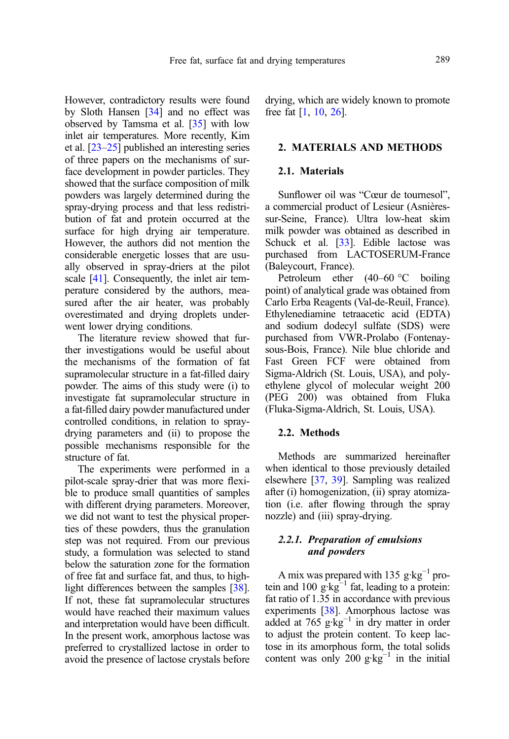However, contradictory results were found by Sloth Hansen [[34](#page-13-0)] and no effect was observed by Tamsma et al. [[35](#page-13-0)] with low inlet air temperatures. More recently, Kim et al. [[23](#page-13-0)–[25](#page-13-0)] published an interesting series of three papers on the mechanisms of surface development in powder particles. They showed that the surface composition of milk powders was largely determined during the spray-drying process and that less redistribution of fat and protein occurred at the surface for high drying air temperature. However, the authors did not mention the considerable energetic losses that are usually observed in spray-driers at the pilot scale [\[41](#page-13-0)]. Consequently, the inlet air temperature considered by the authors, measured after the air heater, was probably overestimated and drying droplets underwent lower drying conditions.

The literature review showed that further investigations would be useful about the mechanisms of the formation of fat supramolecular structure in a fat-filled dairy powder. The aims of this study were (i) to investigate fat supramolecular structure in a fat-filled dairy powder manufactured under controlled conditions, in relation to spraydrying parameters and (ii) to propose the possible mechanisms responsible for the structure of fat.

The experiments were performed in a pilot-scale spray-drier that was more flexible to produce small quantities of samples with different drying parameters. Moreover, we did not want to test the physical properties of these powders, thus the granulation step was not required. From our previous study, a formulation was selected to stand below the saturation zone for the formation of free fat and surface fat, and thus, to highlight differences between the samples [\[38](#page-13-0)]. If not, these fat supramolecular structures would have reached their maximum values and interpretation would have been difficult. In the present work, amorphous lactose was preferred to crystallized lactose in order to avoid the presence of lactose crystals before drying, which are widely known to promote free fat [\[1,](#page-12-0) [10](#page-12-0), [26\]](#page-13-0).

### 2. MATERIALS AND METHODS

# 2.1. Materials

Sunflower oil was "Cœur de tournesol", a commercial product of Lesieur (Asnièressur-Seine, France). Ultra low-heat skim milk powder was obtained as described in Schuck et al. [[33](#page-13-0)]. Edible lactose was purchased from LACTOSERUM-France (Baleycourt, France).

Petroleum ether (40–60 °C boiling point) of analytical grade was obtained from Carlo Erba Reagents (Val-de-Reuil, France). Ethylenediamine tetraacetic acid (EDTA) and sodium dodecyl sulfate (SDS) were purchased from VWR-Prolabo (Fontenaysous-Bois, France). Nile blue chloride and Fast Green FCF were obtained from Sigma-Aldrich (St. Louis, USA), and polyethylene glycol of molecular weight 200 (PEG 200) was obtained from Fluka (Fluka-Sigma-Aldrich, St. Louis, USA).

### 2.2. Methods

Methods are summarized hereinafter when identical to those previously detailed elsewhere [\[37,](#page-13-0) [39\]](#page-13-0). Sampling was realized after (i) homogenization, (ii) spray atomization (i.e. after flowing through the spray nozzle) and (iii) spray-drying.

# 2.2.1. Preparation of emulsions and powders

A mix was prepared with 135 g·kg<sup>-1</sup> protein and 100 g·kg $^{-1}$  fat, leading to a protein: fat ratio of 1.35 in accordance with previous experiments [\[38\]](#page-13-0). Amorphous lactose was added at 765 g·kg<sup>-1</sup> in dry matter in order to adjust the protein content. To keep lactose in its amorphous form, the total solids content was only 200 g·kg<sup>-1</sup> in the initial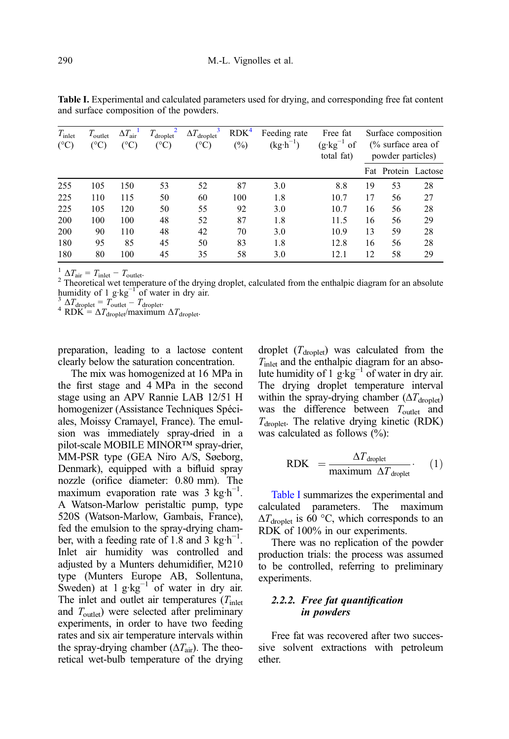| $T_{\text{inlet}}$<br>$(^{\circ}C)$ | $T_{\text{outlet}}$<br>(°C) | $\Delta T_{\rm air}$<br>$(^\circ C)$ | $T_{\text{droplet}}^2$<br>$(^\circ C)$ | 3<br>$\Delta T_{\rm droplet}$<br>$(^\circ C)$ | RDK <sup>4</sup><br>$(\%)$ | Feeding rate<br>$(kg \cdot h^{-1})$ | Free fat<br>$(g \cdot kg^{-1}$ of<br>total fat) | Surface composition<br>$\frac{6}{6}$ surface area of<br>powder particles) |    |                     |
|-------------------------------------|-----------------------------|--------------------------------------|----------------------------------------|-----------------------------------------------|----------------------------|-------------------------------------|-------------------------------------------------|---------------------------------------------------------------------------|----|---------------------|
|                                     |                             |                                      |                                        |                                               |                            |                                     |                                                 |                                                                           |    | Fat Protein Lactose |
| 255                                 | 105                         | 150                                  | 53                                     | 52                                            | 87                         | 3.0                                 | 8.8                                             | 19                                                                        | 53 | 28                  |
| 225                                 | 110                         | 115                                  | 50                                     | 60                                            | 100                        | 1.8                                 | 10.7                                            | 17                                                                        | 56 | 27                  |
| 225                                 | 105                         | 120                                  | 50                                     | 55                                            | 92                         | 3.0                                 | 10.7                                            | 16                                                                        | 56 | 28                  |
| 200                                 | 100                         | 100                                  | 48                                     | 52                                            | 87                         | 1.8                                 | 11.5                                            | 16                                                                        | 56 | 29                  |
| 200                                 | 90                          | 110                                  | 48                                     | 42                                            | 70                         | 3.0                                 | 10.9                                            | 13                                                                        | 59 | 28                  |
| 180                                 | 95                          | 85                                   | 45                                     | 50                                            | 83                         | 1.8                                 | 12.8                                            | 16                                                                        | 56 | 28                  |
| 180                                 | 80                          | 100                                  | 45                                     | 35                                            | 58                         | 3.0                                 | 12.1                                            | 12                                                                        | 58 | 29                  |

<span id="page-3-0"></span>Table I. Experimental and calculated parameters used for drying, and corresponding free fat content and surface composition of the powders.

 $\frac{1}{2} \Delta T_{\text{air}} = T_{\text{inlet}} - T_{\text{outlet}}$ <br><sup>2</sup> Theoretical wet temperature of the drying droplet, calculated from the enthalpic diagram for an absolute humidity of 1 g·kg<sup>-1</sup> of water in dry air.<br><sup>3</sup>  $\Delta T_{\text{droplet}} = T_{\text{outlet}} - T_{\text{droplet}}$ <br><sup>4</sup> RDK =  $\Delta T_{\text{droplet}}$ /maximum  $\Delta T_{\text{droplet}}$ .

preparation, leading to a lactose content clearly below the saturation concentration.

The mix was homogenized at 16 MPa in the first stage and 4 MPa in the second stage using an APV Rannie LAB 12/51 H homogenizer (Assistance Techniques Spéciales, Moissy Cramayel, France). The emulsion was immediately spray-dried in a pilot-scale MOBILE MINOR™ spray-drier, MM-PSR type (GEA Niro A/S, Søeborg, Denmark), equipped with a bifluid spray nozzle (orifice diameter: 0.80 mm). The maximum evaporation rate was  $3 \text{ kg} \cdot \text{h}^{-1}$ . A Watson-Marlow peristaltic pump, type 520S (Watson-Marlow, Gambais, France), fed the emulsion to the spray-drying chamber, with a feeding rate of 1.8 and  $3 \text{ kg} \cdot \text{h}^{-1}$ . Inlet air humidity was controlled and adjusted by a Munters dehumidifier, M210 type (Munters Europe AB, Sollentuna, Sweden) at  $1 \text{ g} \cdot \text{kg}^{-1}$  of water in dry air. The inlet and outlet air temperatures  $(T_{\text{inlet}})$ and  $T_{\text{outlet}}$ ) were selected after preliminary experiments, in order to have two feeding rates and six air temperature intervals within the spray-drying chamber ( $\Delta T_{\text{air}}$ ). The theoretical wet-bulb temperature of the drying droplet  $(T_{\text{droplet}})$  was calculated from the  $T_{\text{inlet}}$  and the enthalpic diagram for an absolute humidity of 1  $g$ ·kg<sup>-1</sup> of water in dry air. The drying droplet temperature interval within the spray-drying chamber  $(\Delta T_{\text{droplet}})$ was the difference between  $T_{\text{outlet}}$  and  $T_{\text{droplet}}$ . The relative drying kinetic (RDK) was calculated as follows  $(\% )$ :

$$
RDK = \frac{\Delta T_{\text{droplet}}}{\text{maximum } \Delta T_{\text{droplet}}}.
$$
 (1)

Table I summarizes the experimental and calculated parameters. The maximum  $\Delta T_{\text{droplet}}$  is 60 °C, which corresponds to an RDK of 100% in our experiments.

There was no replication of the powder production trials: the process was assumed to be controlled, referring to preliminary experiments.

### 2.2.2. Free fat quantification in powders

Free fat was recovered after two successive solvent extractions with petroleum ether.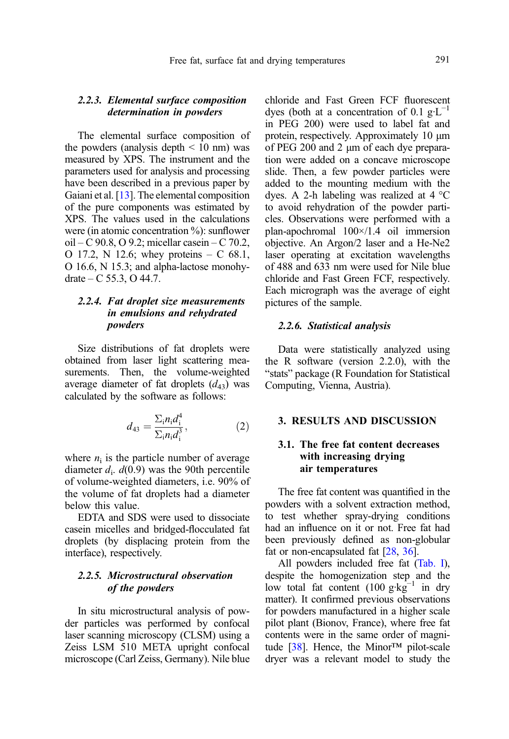# 2.2.3. Elemental surface composition determination in powders

The elemental surface composition of the powders (analysis depth  $\leq 10$  nm) was measured by XPS. The instrument and the parameters used for analysis and processing have been described in a previous paper by Gaiani et al. [\[13](#page-12-0)]. The elemental composition of the pure components was estimated by XPS. The values used in the calculations were (in atomic concentration %): sunflower oil – C 90.8, O 9.2; micellar casein – C 70.2, O 17.2, N 12.6; whey proteins – C 68.1, O 16.6, N 15.3; and alpha-lactose monohydrate – C 55.3, O 44.7.

# 2.2.4. Fat droplet size measurements in emulsions and rehydrated powders

Size distributions of fat droplets were obtained from laser light scattering measurements. Then, the volume-weighted average diameter of fat droplets  $(d_{43})$  was calculated by the software as follows:

$$
d_{43} = \frac{\sum_{i} n_i d_i^4}{\sum_{i} n_i d_i^3},
$$
 (2)

where  $n_i$  is the particle number of average diameter  $d_i$ .  $d(0.9)$  was the 90th percentile of volume-weighted diameters, i.e. 90% of the volume of fat droplets had a diameter below this value.

EDTA and SDS were used to dissociate casein micelles and bridged-flocculated fat droplets (by displacing protein from the interface), respectively.

# 2.2.5. Microstructural observation of the powders

In situ microstructural analysis of powder particles was performed by confocal laser scanning microscopy (CLSM) using a Zeiss LSM 510 META upright confocal microscope (Carl Zeiss, Germany). Nile blue chloride and Fast Green FCF fluorescent dyes (both at a concentration of 0.1  $g \text{·}L^{-1}$ in PEG 200) were used to label fat and protein, respectively. Approximately 10 μm of PEG 200 and 2 μm of each dye preparation were added on a concave microscope slide. Then, a few powder particles were added to the mounting medium with the dyes. A 2-h labeling was realized at 4 °C to avoid rehydration of the powder particles. Observations were performed with a plan-apochromal 100×/1.4 oil immersion objective. An Argon/2 laser and a He-Ne2 laser operating at excitation wavelengths of 488 and 633 nm were used for Nile blue chloride and Fast Green FCF, respectively. Each micrograph was the average of eight pictures of the sample.

# 2.2.6. Statistical analysis

Data were statistically analyzed using the R software (version 2.2.0), with the "stats" package (R Foundation for Statistical Computing, Vienna, Austria).

# 3. RESULTS AND DISCUSSION

# 3.1. The free fat content decreases with increasing drying air temperatures

The free fat content was quantified in the powders with a solvent extraction method, to test whether spray-drying conditions had an influence on it or not. Free fat had been previously defined as non-globular fat or non-encapsulated fat [[28](#page-13-0), [36\]](#page-13-0).

All powders included free fat [\(Tab. I](#page-3-0)), despite the homogenization step and the low total fat content  $(100 \text{ g/kg}^{-1} \text{ in dry})$ matter). It confirmed previous observations for powders manufactured in a higher scale pilot plant (Bionov, France), where free fat contents were in the same order of magni-tude [\[38\]](#page-13-0). Hence, the Minor<sup>™</sup> pilot-scale dryer was a relevant model to study the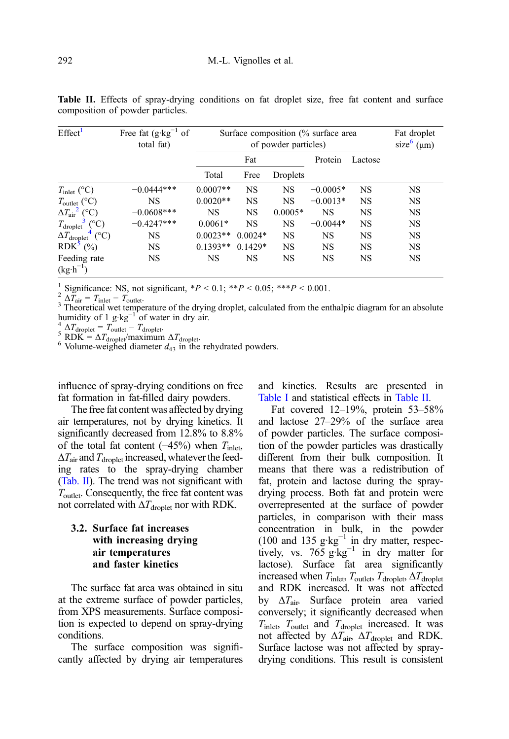| Effect <sup>1</sup>                 | Free fat $(g \cdot kg^{-1}$ of<br>total fat) | Surface composition (% surface area | Fat droplet<br>$size6$ (µm) |           |            |           |           |
|-------------------------------------|----------------------------------------------|-------------------------------------|-----------------------------|-----------|------------|-----------|-----------|
|                                     |                                              |                                     | Fat                         |           | Protein    | Lactose   |           |
|                                     |                                              | Total                               | Free                        | Droplets  |            |           |           |
| $T_{\text{inlet}}$ (°C)             | $-0.0444***$                                 | $0.0007**$                          | <b>NS</b>                   | <b>NS</b> | $-0.0005*$ | <b>NS</b> | <b>NS</b> |
| $T_{\text{outlet}}$ (°C)            | <b>NS</b>                                    | $0.0020**$                          | <b>NS</b>                   | <b>NS</b> | $-0.0013*$ | <b>NS</b> | NS        |
| $\Delta T_{\text{air}}^2$ (°C)      | $-0.0608***$                                 | NS                                  | <b>NS</b>                   | $0.0005*$ | <b>NS</b>  | NS        | <b>NS</b> |
| $T_{\rm droplet}^{\quad 3}$ (°C)    | $-0.4247***$                                 | $0.0061*$                           | <b>NS</b>                   | <b>NS</b> | $-0.0044*$ | <b>NS</b> | <b>NS</b> |
| $\Delta T_{\rm droplet}{}^4$ (°C)   | <b>NS</b>                                    | $0.0023**$                          | $0.0024*$                   | <b>NS</b> | <b>NS</b>  | <b>NS</b> | <b>NS</b> |
| $RDK3$ (%)                          | NS                                           | $0.1393**$                          | $0.1429*$                   | <b>NS</b> | NS         | NS        | NS        |
| Feeding rate<br>$(kg \cdot h^{-1})$ | <b>NS</b>                                    | NS                                  | <b>NS</b>                   | <b>NS</b> | <b>NS</b>  | <b>NS</b> | <b>NS</b> |

<span id="page-5-0"></span>Table II. Effects of spray-drying conditions on fat droplet size, free fat content and surface composition of powder particles.

<sup>1</sup> Significance: NS, not significant, \**P* < 0.1; \*\**P* < 0.05; \*\*\**P* < 0.001.<br>
<sup>2</sup>  $\Delta T_{air} = T_{inlet} - T_{outlet}$ .<br>
<sup>3</sup> Theoretical wet temperature of the drying droplet, calculated from the enthalpic diagram for an absolute hu

<sup>4</sup>  $\Delta T_{\text{droplet}} = T_{\text{outlet}} - T_{\text{droplet}}$ <br>
<sup>5</sup> RDK =  $\Delta T_{\text{droplet}}$  maximum  $\Delta T_{\text{droplet}}$ .<br>
<sup>6</sup> Volume-weighed diameter  $d_{43}$  in the rehydrated powders.

influence of spray-drying conditions on free fat formation in fat-filled dairy powders.

The free fat content was affected by drying air temperatures, not by drying kinetics. It significantly decreased from 12.8% to 8.8% of the total fat content ( $-45\%$ ) when  $T_{\text{inlet}}$ ,  $\Delta T_{\text{air}}$  and  $T_{\text{droplet}}$  increased, whatever the feeding rates to the spray-drying chamber (Tab. II). The trend was not significant with  $T_{\text{outlet}}$ . Consequently, the free fat content was not correlated with  $\Delta T_{\text{droplet}}$  nor with RDK.

# 3.2. Surface fat increases with increasing drying air temperatures and faster kinetics

The surface fat area was obtained in situ at the extreme surface of powder particles, from XPS measurements. Surface composition is expected to depend on spray-drying conditions.

The surface composition was significantly affected by drying air temperatures and kinetics. Results are presented in [Table I](#page-3-0) and statistical effects in Table II.

Fat covered 12–19%, protein 53–58% and lactose 27–29% of the surface area of powder particles. The surface composition of the powder particles was drastically different from their bulk composition. It means that there was a redistribution of fat, protein and lactose during the spraydrying process. Both fat and protein were overrepresented at the surface of powder particles, in comparison with their mass concentration in bulk, in the powder (100 and 135  $g \text{ kg}^{-1}$  in dry matter, respectively, vs. 765 g·kg−<sup>1</sup> in dry matter for lactose). Surface fat area significantly increased when  $T_{\text{inlet}}$ ,  $T_{\text{outlet}}$ ,  $T_{\text{droplet}}$ ,  $\Delta T_{\text{droplet}}$ and RDK increased. It was not affected by  $\Delta T_{\text{air}}$ . Surface protein area varied conversely; it significantly decreased when  $T_{\text{inlet}}$ ,  $T_{\text{outlet}}$  and  $T_{\text{droplet}}$  increased. It was not affected by  $\Delta T_{\text{air}}$ ,  $\Delta T_{\text{droplet}}$  and RDK. Surface lactose was not affected by spraydrying conditions. This result is consistent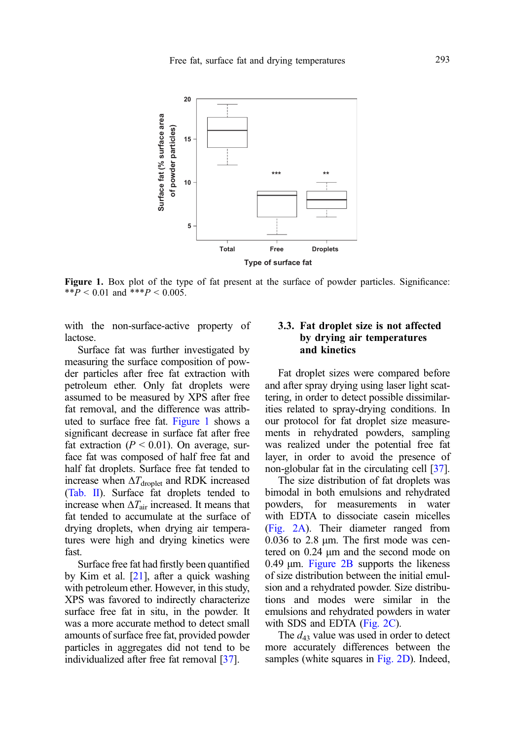

Figure 1. Box plot of the type of fat present at the surface of powder particles. Significance: \*\* $\overline{P}$  < 0.01 and \*\*\* $\overline{P}$  < 0.005.

with the non-surface-active property of lactose.

Surface fat was further investigated by measuring the surface composition of powder particles after free fat extraction with petroleum ether. Only fat droplets were assumed to be measured by XPS after free fat removal, and the difference was attributed to surface free fat. Figure 1 shows a significant decrease in surface fat after free fat extraction ( $P < 0.01$ ). On average, surface fat was composed of half free fat and half fat droplets. Surface free fat tended to increase when  $\Delta T_{\text{droplet}}$  and RDK increased ([Tab. II](#page-5-0)). Surface fat droplets tended to increase when  $\Delta T_{\text{air}}$  increased. It means that fat tended to accumulate at the surface of drying droplets, when drying air temperatures were high and drying kinetics were fast.

Surface free fat had firstly been quantified by Kim et al. [\[21](#page-13-0)], after a quick washing with petroleum ether. However, in this study, XPS was favored to indirectly characterize surface free fat in situ, in the powder. It was a more accurate method to detect small amounts of surface free fat, provided powder particles in aggregates did not tend to be individualized after free fat removal [\[37\]](#page-13-0).

# 3.3. Fat droplet size is not affected by drying air temperatures and kinetics

Fat droplet sizes were compared before and after spray drying using laser light scattering, in order to detect possible dissimilarities related to spray-drying conditions. In our protocol for fat droplet size measurements in rehydrated powders, sampling was realized under the potential free fat layer, in order to avoid the presence of non-globular fat in the circulating cell [[37](#page-13-0)].

The size distribution of fat droplets was bimodal in both emulsions and rehydrated powders, for measurements in water with EDTA to dissociate casein micelles ([Fig. 2A](#page-7-0)). Their diameter ranged from 0.036 to 2.8 μm. The first mode was centered on 0.24 μm and the second mode on 0.49  $\mu$ m. [Figure 2B](#page-7-0) supports the likeness of size distribution between the initial emulsion and a rehydrated powder. Size distributions and modes were similar in the emulsions and rehydrated powders in water with SDS and EDTA [\(Fig. 2C\)](#page-7-0).

The  $d_{43}$  value was used in order to detect more accurately differences between the samples (white squares in [Fig. 2D\)](#page-7-0). Indeed,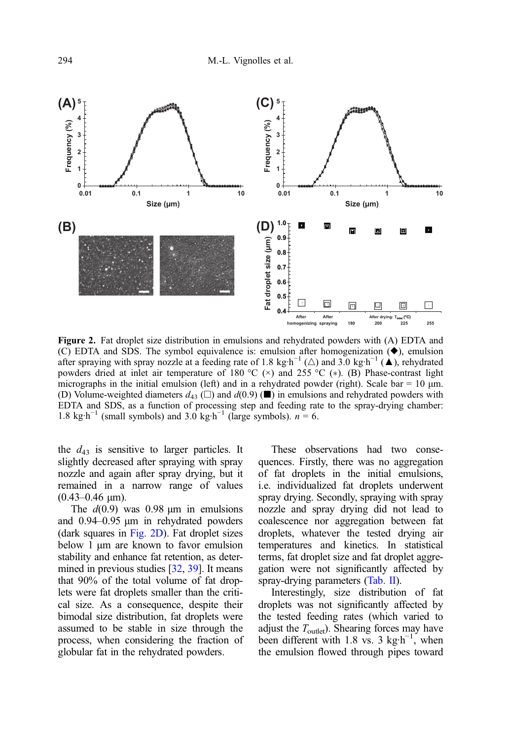<span id="page-7-0"></span>

Figure 2. Fat droplet size distribution in emulsions and rehydrated powders with (A) EDTA and (C) EDTA and SDS. The symbol equivalence is: emulsion after homogenization  $(\blacklozenge)$ , emulsion after spraying with spray nozzle at a feeding rate of 1.8 kg·h<sup>-1</sup> ( $\triangle$ ) and 3.0 kg·h<sup>-1</sup> ( $\triangle$ ), rehydrated powders dried at inlet air temperature of 180 °C ( $\times$ ) and 255 °C ( $*\$ ). (B) Phase-contrast light micrographs in the initial emulsion (left) and in a rehydrated powder (right). Scale bar =  $10 \mu m$ . (D) Volume-weighted diameters  $d_{43}$  ( $\square$ ) and  $d(0.9)$  ( $\blacksquare$ ) in emulsions and rehydrated powders with EDTA and SDS, as a function of processing step and feeding rate to the spray-drying chamber: 1.8 kg⋅h<sup>-1</sup> (small symbols) and 3.0 kg⋅h<sup>-1</sup> (large symbols).  $n = 6$ .

the  $d_{43}$  is sensitive to larger particles. It slightly decreased after spraying with spray nozzle and again after spray drying, but it remained in a narrow range of values  $(0.43 - 0.46$  μm).

The  $d(0.9)$  was 0.98  $\mu$ m in emulsions and 0.94–0.95 μm in rehydrated powders (dark squares in Fig. 2D). Fat droplet sizes below 1 μm are known to favor emulsion stability and enhance fat retention, as determined in previous studies [[32,](#page-13-0) [39](#page-13-0)]. It means that 90% of the total volume of fat droplets were fat droplets smaller than the critical size. As a consequence, despite their bimodal size distribution, fat droplets were assumed to be stable in size through the process, when considering the fraction of globular fat in the rehydrated powders.

These observations had two consequences. Firstly, there was no aggregation of fat droplets in the initial emulsions, i.e. individualized fat droplets underwent spray drying. Secondly, spraying with spray nozzle and spray drying did not lead to coalescence nor aggregation between fat droplets, whatever the tested drying air temperatures and kinetics. In statistical terms, fat droplet size and fat droplet aggregation were not significantly affected by spray-drying parameters ([Tab. II](#page-5-0)).

Interestingly, size distribution of fat droplets was not significantly affected by the tested feeding rates (which varied to adjust the  $T_{\text{outlet}}$ ). Shearing forces may have been different with 1.8 vs. 3 kg⋅h<sup>-1</sup>, when the emulsion flowed through pipes toward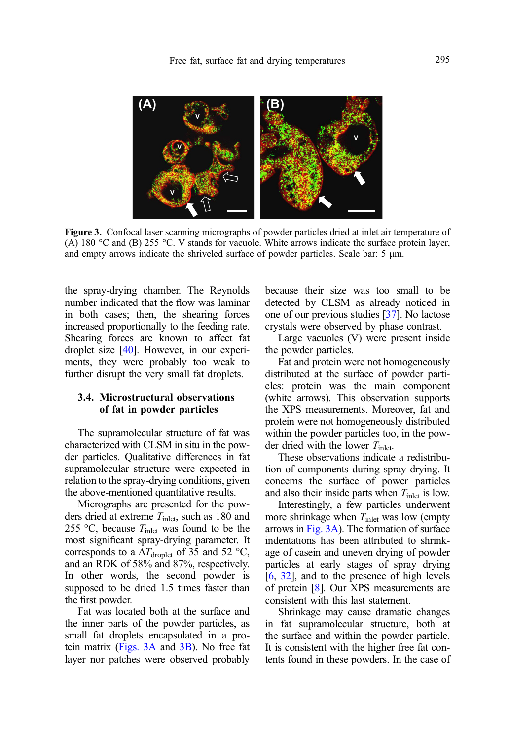

Figure 3. Confocal laser scanning micrographs of powder particles dried at inlet air temperature of (A) 180 °C and (B) 255 °C. V stands for vacuole. White arrows indicate the surface protein layer, and empty arrows indicate the shriveled surface of powder particles. Scale bar: 5 μm.

the spray-drying chamber. The Reynolds number indicated that the flow was laminar in both cases; then, the shearing forces increased proportionally to the feeding rate. Shearing forces are known to affect fat droplet size [[40\]](#page-13-0). However, in our experiments, they were probably too weak to further disrupt the very small fat droplets.

# 3.4. Microstructural observations of fat in powder particles

The supramolecular structure of fat was characterized with CLSM in situ in the powder particles. Qualitative differences in fat supramolecular structure were expected in relation to the spray-drying conditions, given the above-mentioned quantitative results.

Micrographs are presented for the powders dried at extreme  $T_{\text{inlet}}$ , such as 180 and 255 °C, because  $T_{\text{inlet}}$  was found to be the most significant spray-drying parameter. It corresponds to a  $\Delta T_{\text{droplet}}$  of 35 and 52 °C, and an RDK of 58% and 87%, respectively. In other words, the second powder is supposed to be dried 1.5 times faster than the first powder.

Fat was located both at the surface and the inner parts of the powder particles, as small fat droplets encapsulated in a protein matrix (Figs. 3A and 3B). No free fat layer nor patches were observed probably because their size was too small to be detected by CLSM as already noticed in one of our previous studies [[37](#page-13-0)]. No lactose crystals were observed by phase contrast.

Large vacuoles (V) were present inside the powder particles.

Fat and protein were not homogeneously distributed at the surface of powder particles: protein was the main component (white arrows). This observation supports the XPS measurements. Moreover, fat and protein were not homogeneously distributed within the powder particles too, in the powder dried with the lower  $T_{\text{inlet}}$ .

These observations indicate a redistribution of components during spray drying. It concerns the surface of power particles and also their inside parts when  $T_{\text{inlet}}$  is low.

Interestingly, a few particles underwent more shrinkage when  $T_{\text{inlet}}$  was low (empty arrows in Fig. 3A). The formation of surface indentations has been attributed to shrinkage of casein and uneven drying of powder particles at early stages of spray drying [[6,](#page-12-0) [32\]](#page-13-0), and to the presence of high levels of protein [\[8](#page-12-0)]. Our XPS measurements are consistent with this last statement.

Shrinkage may cause dramatic changes in fat supramolecular structure, both at the surface and within the powder particle. It is consistent with the higher free fat contents found in these powders. In the case of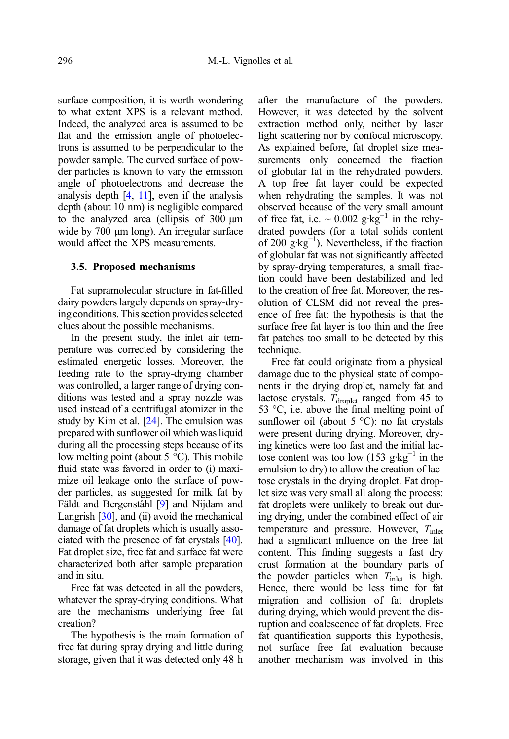surface composition, it is worth wondering to what extent XPS is a relevant method. Indeed, the analyzed area is assumed to be flat and the emission angle of photoelectrons is assumed to be perpendicular to the powder sample. The curved surface of powder particles is known to vary the emission angle of photoelectrons and decrease the analysis depth  $[4, 11]$  $[4, 11]$  $[4, 11]$  $[4, 11]$ , even if the analysis depth (about 10 nm) is negligible compared to the analyzed area (ellipsis of 300 μm wide by 700 μm long). An irregular surface would affect the XPS measurements.

#### 3.5. Proposed mechanisms

Fat supramolecular structure in fat-filled dairy powders largely depends on spray-drying conditions. This section provides selected clues about the possible mechanisms.

In the present study, the inlet air temperature was corrected by considering the estimated energetic losses. Moreover, the feeding rate to the spray-drying chamber was controlled, a larger range of drying conditions was tested and a spray nozzle was used instead of a centrifugal atomizer in the study by Kim et al. [\[24](#page-13-0)]. The emulsion was prepared with sunflower oil which was liquid during all the processing steps because of its low melting point (about 5 °C). This mobile fluid state was favored in order to (i) maximize oil leakage onto the surface of powder particles, as suggested for milk fat by Fäldt and Bergenståhl [\[9\]](#page-12-0) and Nijdam and Langrish  $[30]$ , and (ii) avoid the mechanical damage of fat droplets which is usually associated with the presence of fat crystals [\[40\]](#page-13-0). Fat droplet size, free fat and surface fat were characterized both after sample preparation and in situ.

Free fat was detected in all the powders, whatever the spray-drying conditions. What are the mechanisms underlying free fat creation?

The hypothesis is the main formation of free fat during spray drying and little during storage, given that it was detected only 48 h

after the manufacture of the powders. However, it was detected by the solvent extraction method only, neither by laser light scattering nor by confocal microscopy. As explained before, fat droplet size measurements only concerned the fraction of globular fat in the rehydrated powders. A top free fat layer could be expected when rehydrating the samples. It was not observed because of the very small amount of free fat, i.e. ~ 0.002 g·kg<sup>-1</sup> in the rehydrated powders (for a total solids content of 200 g·kg−<sup>1</sup> ). Nevertheless, if the fraction of globular fat was not significantly affected by spray-drying temperatures, a small fraction could have been destabilized and led to the creation of free fat. Moreover, the resolution of CLSM did not reveal the presence of free fat: the hypothesis is that the surface free fat layer is too thin and the free fat patches too small to be detected by this technique.

Free fat could originate from a physical damage due to the physical state of components in the drying droplet, namely fat and lactose crystals.  $T_{\text{droplet}}$  ranged from 45 to 53 °C, i.e. above the final melting point of sunflower oil (about  $5^{\circ}$ C): no fat crystals were present during drying. Moreover, drying kinetics were too fast and the initial lactose content was too low (153 g·kg<sup>-1</sup> in the emulsion to dry) to allow the creation of lactose crystals in the drying droplet. Fat droplet size was very small all along the process: fat droplets were unlikely to break out during drying, under the combined effect of air temperature and pressure. However,  $T_{\text{inlet}}$ had a significant influence on the free fat content. This finding suggests a fast dry crust formation at the boundary parts of the powder particles when  $T_{\text{inlet}}$  is high. Hence, there would be less time for fat migration and collision of fat droplets during drying, which would prevent the disruption and coalescence of fat droplets. Free fat quantification supports this hypothesis, not surface free fat evaluation because another mechanism was involved in this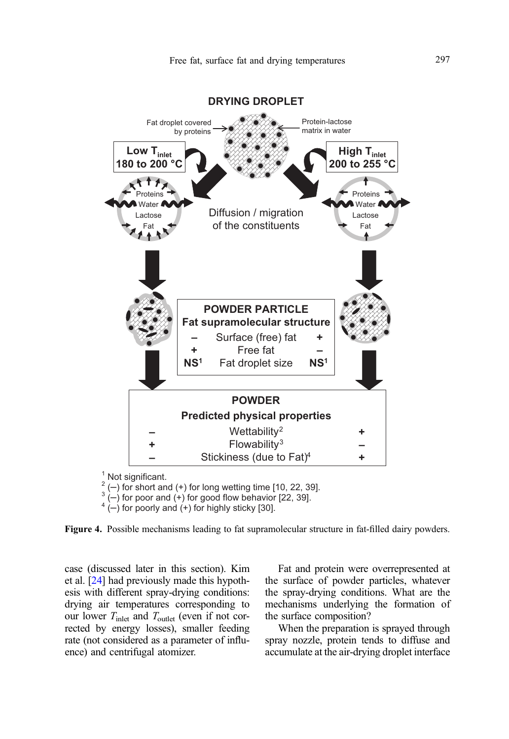<span id="page-10-0"></span>

<sup>1</sup> Not significant.

 $^{2}$  (-) for short and (+) for long wetting time [10, 22, 39].<br> $^{3}$  (-) for near and (+) for good flow behavior [22, 39].

 $(3 \leftarrow)$  for poor and (+) for good flow behavior [22, 39].<br> $(4 \leftarrow)$  for poorly and (+) for bighly sticky [30]

 $(4)$  (-) for poorly and  $(+)$  for highly sticky [30].

Figure 4. Possible mechanisms leading to fat supramolecular structure in fat-filled dairy powders.

case (discussed later in this section). Kim et al. [\[24\]](#page-13-0) had previously made this hypothesis with different spray-drying conditions: drying air temperatures corresponding to our lower  $T_{\text{inlet}}$  and  $T_{\text{outlet}}$  (even if not corrected by energy losses), smaller feeding rate (not considered as a parameter of influence) and centrifugal atomizer.

Fat and protein were overrepresented at the surface of powder particles, whatever the spray-drying conditions. What are the mechanisms underlying the formation of the surface composition?

When the preparation is sprayed through spray nozzle, protein tends to diffuse and accumulate at the air-drying droplet interface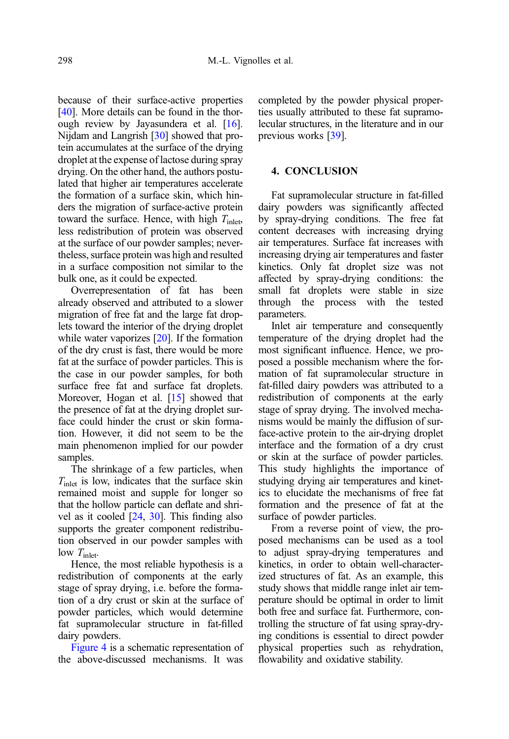because of their surface-active properties [\[40](#page-13-0)]. More details can be found in the thorough review by Jayasundera et al. [\[16\]](#page-12-0). Nijdam and Langrish [\[30\]](#page-13-0) showed that protein accumulates at the surface of the drying droplet at the expense of lactose during spray drying. On the other hand, the authors postulated that higher air temperatures accelerate the formation of a surface skin, which hinders the migration of surface-active protein toward the surface. Hence, with high  $T_{\text{inlet}}$ , less redistribution of protein was observed at the surface of our powder samples; nevertheless, surface protein was high and resulted in a surface composition not similar to the bulk one, as it could be expected.

Overrepresentation of fat has been already observed and attributed to a slower migration of free fat and the large fat droplets toward the interior of the drying droplet while water vaporizes [\[20\]](#page-13-0). If the formation of the dry crust is fast, there would be more fat at the surface of powder particles. This is the case in our powder samples, for both surface free fat and surface fat droplets. Moreover, Hogan et al. [\[15\]](#page-12-0) showed that the presence of fat at the drying droplet surface could hinder the crust or skin formation. However, it did not seem to be the main phenomenon implied for our powder samples.

The shrinkage of a few particles, when  $T_{\text{inlet}}$  is low, indicates that the surface skin remained moist and supple for longer so that the hollow particle can deflate and shrivel as it cooled  $[24, 30]$  $[24, 30]$  $[24, 30]$ . This finding also supports the greater component redistribution observed in our powder samples with low  $T_{\text{inlet}}$ .

Hence, the most reliable hypothesis is a redistribution of components at the early stage of spray drying, i.e. before the formation of a dry crust or skin at the surface of powder particles, which would determine fat supramolecular structure in fat-filled dairy powders.

[Figure 4](#page-10-0) is a schematic representation of the above-discussed mechanisms. It was

completed by the powder physical properties usually attributed to these fat supramolecular structures, in the literature and in our previous works [[39](#page-13-0)].

# 4. CONCLUSION

Fat supramolecular structure in fat-filled dairy powders was significantly affected by spray-drying conditions. The free fat content decreases with increasing drying air temperatures. Surface fat increases with increasing drying air temperatures and faster kinetics. Only fat droplet size was not affected by spray-drying conditions: the small fat droplets were stable in size through the process with the tested parameters.

Inlet air temperature and consequently temperature of the drying droplet had the most significant influence. Hence, we proposed a possible mechanism where the formation of fat supramolecular structure in fat-filled dairy powders was attributed to a redistribution of components at the early stage of spray drying. The involved mechanisms would be mainly the diffusion of surface-active protein to the air-drying droplet interface and the formation of a dry crust or skin at the surface of powder particles. This study highlights the importance of studying drying air temperatures and kinetics to elucidate the mechanisms of free fat formation and the presence of fat at the surface of powder particles.

From a reverse point of view, the proposed mechanisms can be used as a tool to adjust spray-drying temperatures and kinetics, in order to obtain well-characterized structures of fat. As an example, this study shows that middle range inlet air temperature should be optimal in order to limit both free and surface fat. Furthermore, controlling the structure of fat using spray-drying conditions is essential to direct powder physical properties such as rehydration, flowability and oxidative stability.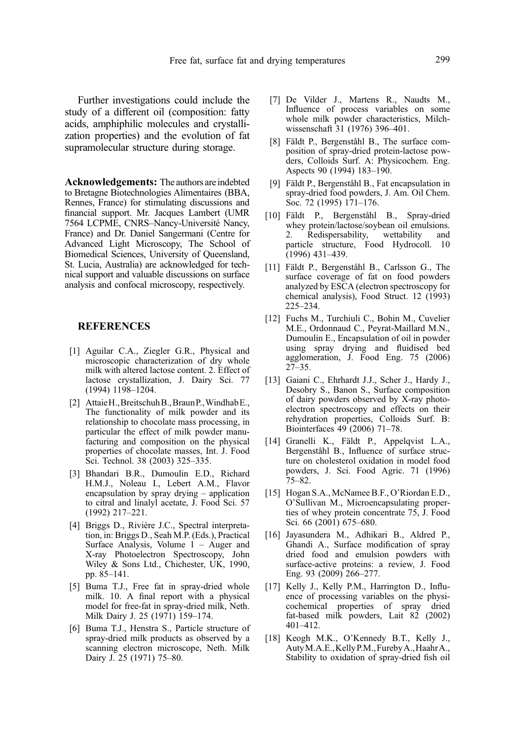<span id="page-12-0"></span>Further investigations could include the study of a different oil (composition: fatty acids, amphiphilic molecules and crystallization properties) and the evolution of fat supramolecular structure during storage.

Acknowledgements: The authors are indebted to Bretagne Biotechnologies Alimentaires (BBA, Rennes, France) for stimulating discussions and financial support. Mr. Jacques Lambert (UMR 7564 LCPME, CNRS–Nancy-Université Nancy, France) and Dr. Daniel Sangermani (Centre for Advanced Light Microscopy, The School of Biomedical Sciences, University of Queensland, St. Lucia, Australia) are acknowledged for technical support and valuable discussions on surface analysis and confocal microscopy, respectively.

#### **REFERENCES**

- [1] Aguilar C.A., Ziegler G.R., Physical and microscopic characterization of dry whole milk with altered lactose content. 2. Effect of lactose crystallization, J. Dairy Sci. 77 (1994) 1198–1204.
- [2] AttaieH.,BreitschuhB.,BraunP.,WindhabE., The functionality of milk powder and its relationship to chocolate mass processing, in particular the effect of milk powder manufacturing and composition on the physical properties of chocolate masses, Int. J. Food Sci. Technol. 38 (2003) 325–335.
- [3] Bhandari B.R., Dumoulin E.D., Richard H.M.J., Noleau I., Lebert A.M., Flavor encapsulation by spray drying – application to citral and linalyl acetate, J. Food Sci. 57 (1992) 217–221.
- [4] Briggs D., Rivière J.C., Spectral interpretation, in: Briggs D., Seah M.P. (Eds.), Practical Surface Analysis, Volume 1 – Auger and X-ray Photoelectron Spectroscopy, John Wiley & Sons Ltd., Chichester, UK, 1990, pp. 85–141.
- [5] Buma T.J., Free fat in spray-dried whole milk. 10. A final report with a physical model for free-fat in spray-dried milk, Neth. Milk Dairy J. 25 (1971) 159–174.
- [6] Buma T.J., Henstra S., Particle structure of spray-dried milk products as observed by a scanning electron microscope, Neth. Milk Dairy J. 25 (1971) 75–80.
- [7] De Vilder J., Martens R., Naudts M., Influence of process variables on some whole milk powder characteristics, Milchwissenschaft 31 (1976) 396–401.
- [8] Fäldt P., Bergenståhl B., The surface composition of spray-dried protein-lactose powders, Colloids Surf. A: Physicochem. Eng. Aspects 90 (1994) 183–190.
- [9] Fäldt P., Bergenståhl B., Fat encapsulation in spray-dried food powders, J. Am. Oil Chem. Soc. 72 (1995) 171–176.
- [10] Fäldt P., Bergenståhl B., Spray-dried whey protein/lactose/soybean oil emulsions.<br>2. Redispersability, wettability and Redispersability, particle structure, Food Hydrocoll. 10 (1996) 431–439.
- [11] Fäldt P., Bergenståhl B., Carlsson G., The surface coverage of fat on food powders analyzed by ESCA (electron spectroscopy for chemical analysis), Food Struct. 12 (1993) 225–234.
- [12] Fuchs M., Turchiuli C., Bohin M., Cuvelier M.E., Ordonnaud C., Peyrat-Maillard M.N., Dumoulin E., Encapsulation of oil in powder using spray drying and fluidised bed agglomeration, J. Food Eng. 75 (2006) 27–35.
- [13] Gaiani C., Ehrhardt J.J., Scher J., Hardy J., Desobry S., Banon S., Surface composition of dairy powders observed by X-ray photoelectron spectroscopy and effects on their rehydration properties, Colloids Surf. B: Biointerfaces 49 (2006) 71–78.
- [14] Granelli K., Fäldt P., Appelqvist L.A., Bergenståhl B., Influence of surface structure on cholesterol oxidation in model food powders, J. Sci. Food Agric. 71 (1996)  $75 - 82.$
- [15] Hogan S.A., McNamee B.F., O'Riordan E.D., O'Sullivan M., Microencapsulating properties of whey protein concentrate 75, J. Food Sci. 66 (2001) 675–680.
- [16] Jayasundera M., Adhikari B., Aldred P., Ghandi A., Surface modification of spray dried food and emulsion powders with surface-active proteins: a review, J. Food Eng. 93 (2009) 266–277.
- [17] Kelly J., Kelly P.M., Harrington D., Influence of processing variables on the physicochemical properties of spray dried fat-based milk powders, Lait 82 (2002) 401–412.
- [18] Keogh M.K., O'Kennedy B.T., Kelly J., AutyM.A.E.,KellyP.M.,FurebyA.,HaahrA., Stability to oxidation of spray-dried fish oil